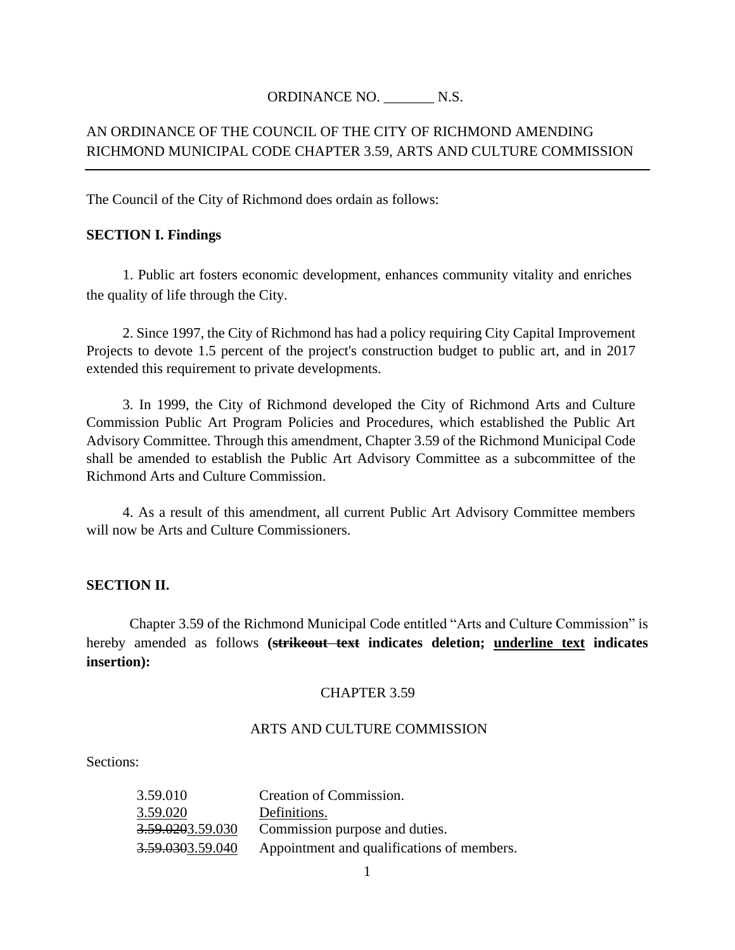### ORDINANCE NO. N.S.

## AN ORDINANCE OF THE COUNCIL OF THE CITY OF RICHMOND AMENDING RICHMOND MUNICIPAL CODE CHAPTER 3.59, ARTS AND CULTURE COMMISSION

The Council of the City of Richmond does ordain as follows:

### **SECTION I. Findings**

1. Public art fosters economic development, enhances community vitality and enriches the quality of life through the City.

2. Since 1997, the City of Richmond has had a policy requiring City Capital Improvement Projects to devote 1.5 percent of the project's construction budget to public art*,* and in 2017 extended this requirement to private developments.

3. In 1999, the City of Richmond developed the City of Richmond Arts and Culture Commission Public Art Program Policies and Procedures, which established the Public Art Advisory Committee. Through this amendment, Chapter 3.59 of the Richmond Municipal Code shall be amended to establish the Public Art Advisory Committee as a subcommittee of the Richmond Arts and Culture Commission.

4. As a result of this amendment, all current Public Art Advisory Committee members will now be Arts and Culture Commissioners.

### **SECTION II.**

Chapter 3.59 of the Richmond Municipal Code entitled "Arts and Culture Commission" is hereby amended as follows **(strikeout text indicates deletion; underline text indicates insertion):**

### CHAPTER 3.59

### ARTS AND CULTURE COMMISSION

#### Sections:

| 3.59.010                     | Creation of Commission.                    |
|------------------------------|--------------------------------------------|
| 3.59.020                     | Definitions.                               |
| <del>3.59.020</del> 3.59.030 | Commission purpose and duties.             |
| <del>3.59.030</del> 3.59.040 | Appointment and qualifications of members. |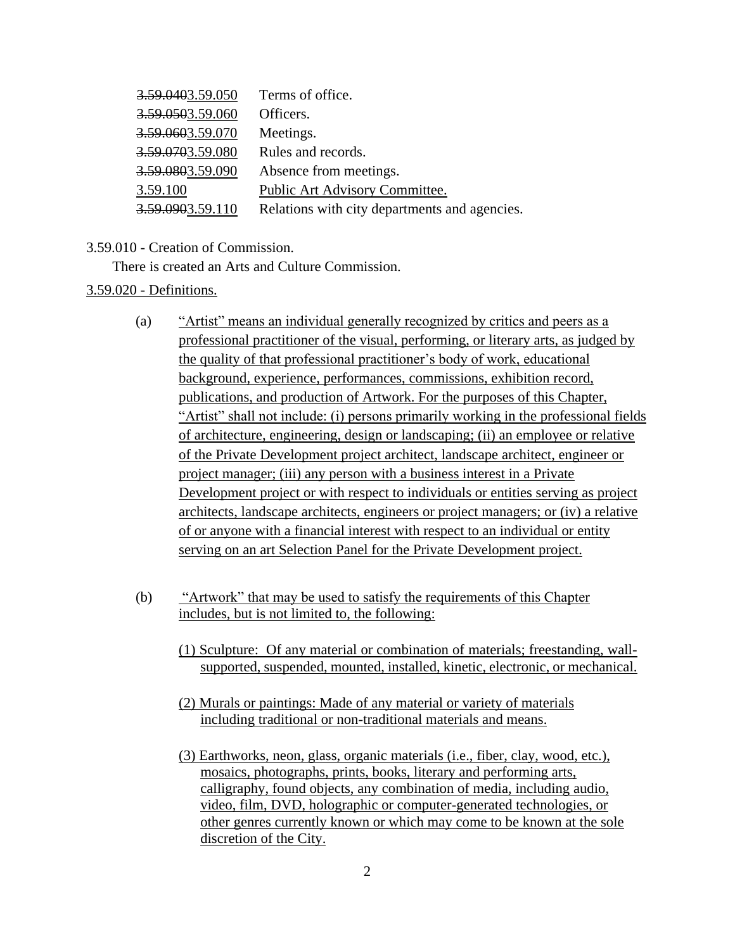| 3.59.0403.59.050 | Terms of office.                              |
|------------------|-----------------------------------------------|
| 3.59.0503.59.060 | Officers.                                     |
| 3.59.0603.59.070 | Meetings.                                     |
| 3.59.0703.59.080 | Rules and records.                            |
| 3.59.0803.59.090 | Absence from meetings.                        |
| 3.59.100         | Public Art Advisory Committee.                |
| 3.59.0903.59.110 | Relations with city departments and agencies. |

### 3.59.010 - Creation of Commission.

There is created an Arts and Culture Commission.

### 3.59.020 - Definitions.

- (a) "Artist" means an individual generally recognized by critics and peers as a professional practitioner of the visual, performing, or literary arts, as judged by the quality of that professional practitioner's body of work, educational background, experience, performances, commissions, exhibition record, publications, and production of Artwork. For the purposes of this Chapter, "Artist" shall not include: (i) persons primarily working in the professional fields of architecture, engineering, design or landscaping; (ii) an employee or relative of the Private Development project architect, landscape architect, engineer or project manager; (iii) any person with a business interest in a Private Development project or with respect to individuals or entities serving as project architects, landscape architects, engineers or project managers; or (iv) a relative of or anyone with a financial interest with respect to an individual or entity serving on an art Selection Panel for the Private Development project.
- (b) "Artwork" that may be used to satisfy the requirements of this Chapter includes, but is not limited to, the following:
	- (1) Sculpture: Of any material or combination of materials; freestanding, wallsupported, suspended, mounted, installed, kinetic, electronic, or mechanical.
	- (2) Murals or paintings: Made of any material or variety of materials including traditional or non-traditional materials and means.
	- (3) Earthworks, neon, glass, organic materials (i.e., fiber, clay, wood, etc.), mosaics, photographs, prints, books, literary and performing arts, calligraphy, found objects, any combination of media, including audio, video, film, DVD, holographic or computer-generated technologies, or other genres currently known or which may come to be known at the sole discretion of the City.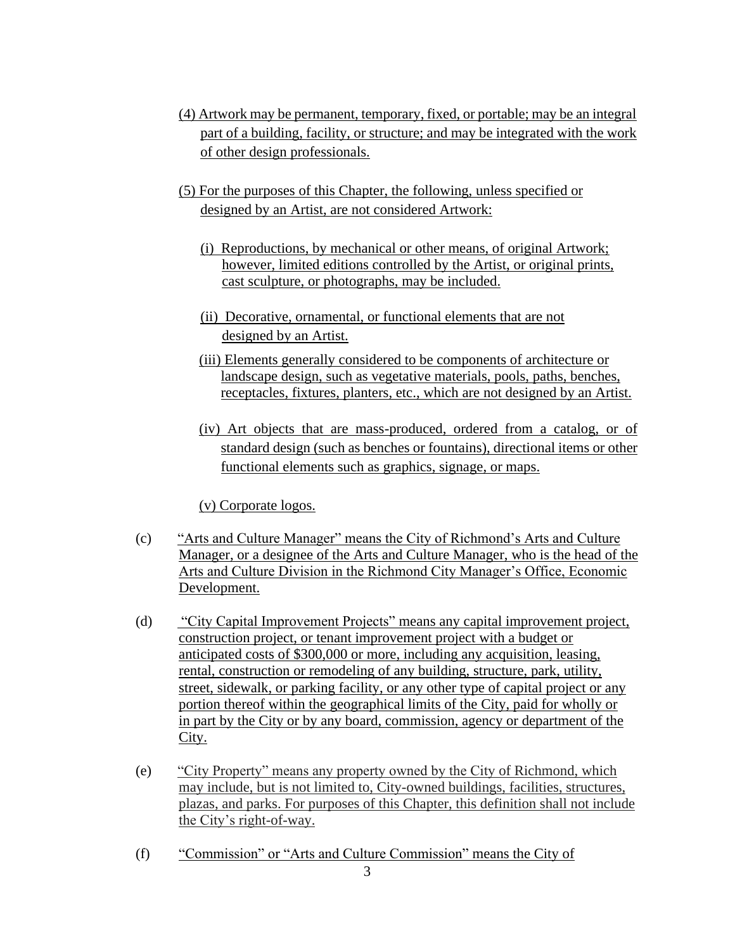- (4) Artwork may be permanent, temporary, fixed, or portable; may be an integral part of a building, facility, or structure; and may be integrated with the work of other design professionals.
- (5) For the purposes of this Chapter, the following, unless specified or designed by an Artist, are not considered Artwork:
	- (i) Reproductions, by mechanical or other means, of original Artwork; however, limited editions controlled by the Artist, or original prints, cast sculpture, or photographs, may be included.
	- (ii) Decorative, ornamental, or functional elements that are not designed by an Artist.
	- (iii) Elements generally considered to be components of architecture or landscape design, such as vegetative materials, pools, paths, benches, receptacles, fixtures, planters, etc., which are not designed by an Artist.
	- (iv) Art objects that are mass-produced, ordered from a catalog, or of standard design (such as benches or fountains), directional items or other functional elements such as graphics, signage, or maps.

(v) Corporate logos.

- (c) "Arts and Culture Manager" means the City of Richmond's Arts and Culture Manager, or a designee of the Arts and Culture Manager, who is the head of the Arts and Culture Division in the Richmond City Manager's Office, Economic Development.
- (d) "City Capital Improvement Projects" means any capital improvement project, construction project, or tenant improvement project with a budget or anticipated costs of \$300,000 or more, including any acquisition, leasing, rental, construction or remodeling of any building, structure, park, utility, street, sidewalk, or parking facility, or any other type of capital project or any portion thereof within the geographical limits of the City, paid for wholly or in part by the City or by any board, commission, agency or department of the City.
- (e) "City Property" means any property owned by the City of Richmond, which may include, but is not limited to, City-owned buildings, facilities, structures, plazas, and parks. For purposes of this Chapter, this definition shall not include the City's right-of-way.
- (f) "Commission" or "Arts and Culture Commission" means the City of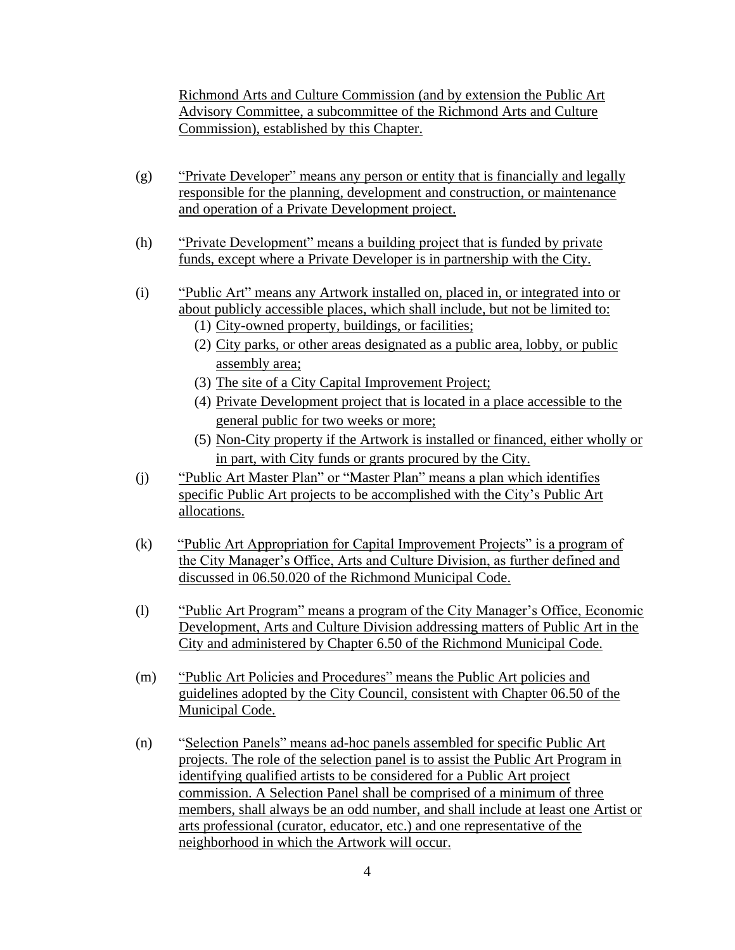Richmond Arts and Culture Commission (and by extension the Public Art Advisory Committee, a subcommittee of the Richmond Arts and Culture Commission), established by this Chapter.

- (g) "Private Developer" means any person or entity that is financially and legally responsible for the planning, development and construction, or maintenance and operation of a Private Development project.
- (h) "Private Development" means a building project that is funded by private funds, except where a Private Developer is in partnership with the City.
- (i) "Public Art" means any Artwork installed on, placed in, or integrated into or about publicly accessible places, which shall include, but not be limited to:
	- (1) City-owned property, buildings, or facilities;
	- (2) City parks, or other areas designated as a public area, lobby, or public assembly area;
	- (3) The site of a City Capital Improvement Project;
	- (4) Private Development project that is located in a place accessible to the general public for two weeks or more;
	- (5) Non-City property if the Artwork is installed or financed, either wholly or in part, with City funds or grants procured by the City.
- (j) "Public Art Master Plan" or "Master Plan" means a plan which identifies specific Public Art projects to be accomplished with the City's Public Art allocations.
- (k) "Public Art Appropriation for Capital Improvement Projects" is a program of the City Manager's Office, Arts and Culture Division, as further defined and discussed in 06.50.020 of the Richmond Municipal Code.
- (l) "Public Art Program" means a program of the City Manager's Office, Economic Development, Arts and Culture Division addressing matters of Public Art in the City and administered by Chapter 6.50 of the Richmond Municipal Code.
- (m) "Public Art Policies and Procedures" means the Public Art policies and guidelines adopted by the City Council, consistent with Chapter 06.50 of the Municipal Code.
- (n) "Selection Panels" means ad-hoc panels assembled for specific Public Art projects. The role of the selection panel is to assist the Public Art Program in identifying qualified artists to be considered for a Public Art project commission. A Selection Panel shall be comprised of a minimum of three members, shall always be an odd number, and shall include at least one Artist or arts professional (curator, educator, etc.) and one representative of the neighborhood in which the Artwork will occur.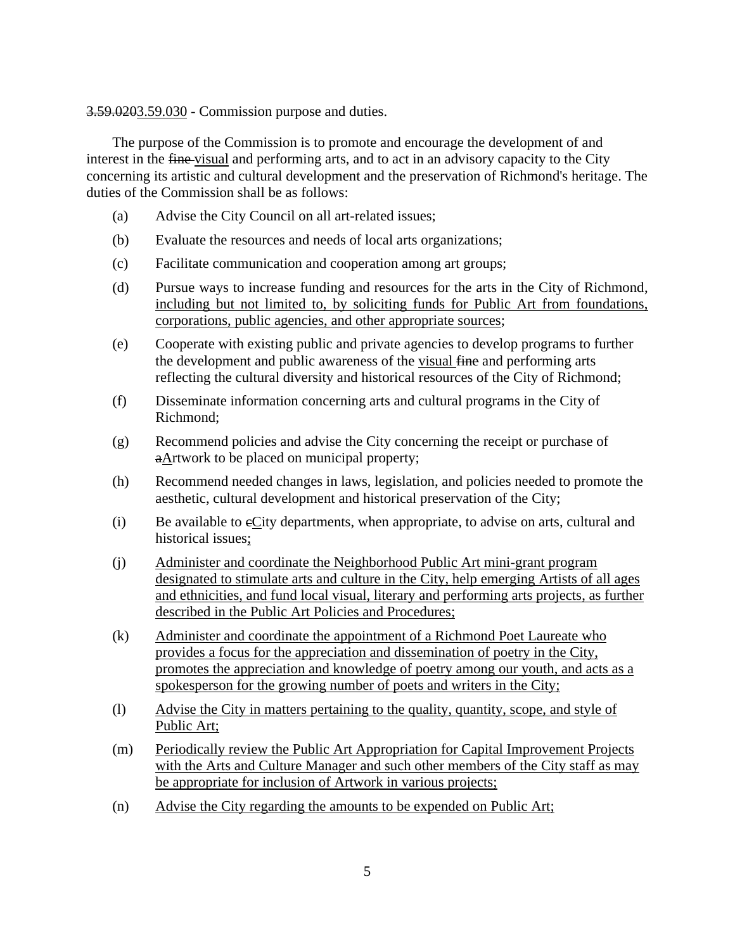3.59.0203.59.030 - Commission purpose and duties.

The purpose of the Commission is to promote and encourage the development of and interest in the fine-visual and performing arts, and to act in an advisory capacity to the City concerning its artistic and cultural development and the preservation of Richmond's heritage. The duties of the Commission shall be as follows:

- (a) Advise the City Council on all art-related issues;
- (b) Evaluate the resources and needs of local arts organizations;
- (c) Facilitate communication and cooperation among art groups;
- (d) Pursue ways to increase funding and resources for the arts in the City of Richmond, including but not limited to, by soliciting funds for Public Art from foundations, corporations, public agencies, and other appropriate sources;
- (e) Cooperate with existing public and private agencies to develop programs to further the development and public awareness of the visual fine and performing arts reflecting the cultural diversity and historical resources of the City of Richmond;
- (f) Disseminate information concerning arts and cultural programs in the City of Richmond;
- (g) Recommend policies and advise the City concerning the receipt or purchase of aArtwork to be placed on municipal property;
- (h) Recommend needed changes in laws, legislation, and policies needed to promote the aesthetic, cultural development and historical preservation of the City;
- (i) Be available to cCity departments, when appropriate, to advise on arts, cultural and historical issues;
- (j) Administer and coordinate the Neighborhood Public Art mini-grant program designated to stimulate arts and culture in the City, help emerging Artists of all ages and ethnicities, and fund local visual, literary and performing arts projects, as further described in the Public Art Policies and Procedures;
- (k) Administer and coordinate the appointment of a Richmond Poet Laureate who provides a focus for the appreciation and dissemination of poetry in the City, promotes the appreciation and knowledge of poetry among our youth, and acts as a spokesperson for the growing number of poets and writers in the City;
- (l) Advise the City in matters pertaining to the quality, quantity, scope, and style of Public Art;
- (m) Periodically review the Public Art Appropriation for Capital Improvement Projects with the Arts and Culture Manager and such other members of the City staff as may be appropriate for inclusion of Artwork in various projects;
- (n) Advise the City regarding the amounts to be expended on Public Art;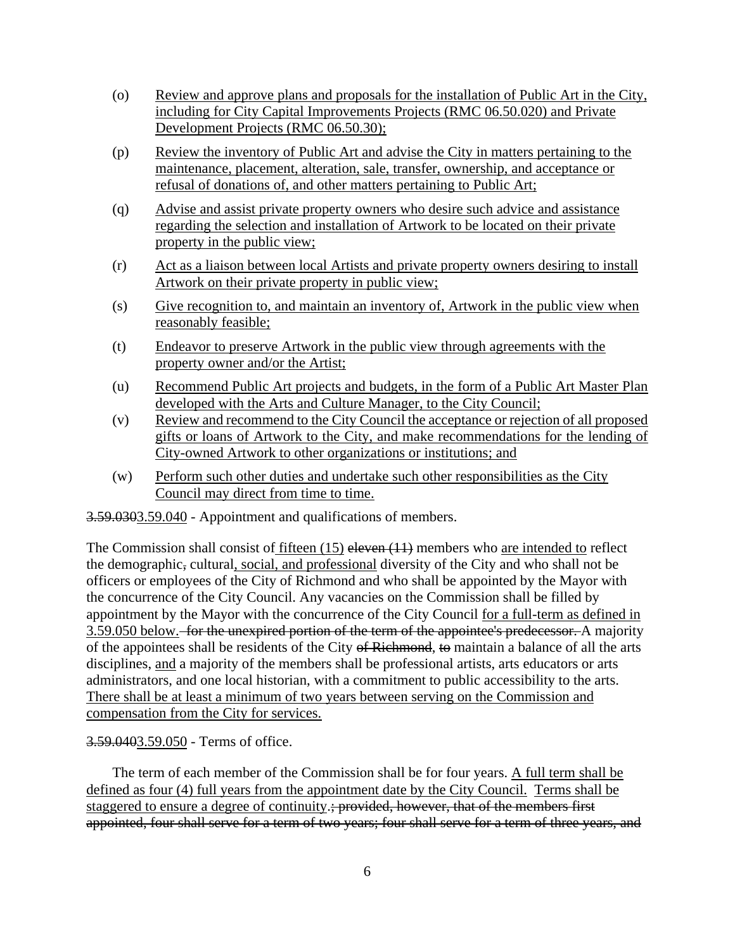- (o) Review and approve plans and proposals for the installation of Public Art in the City, including for City Capital Improvements Projects (RMC 06.50.020) and Private Development Projects (RMC 06.50.30);
- (p) Review the inventory of Public Art and advise the City in matters pertaining to the maintenance, placement, alteration, sale, transfer, ownership, and acceptance or refusal of donations of, and other matters pertaining to Public Art;
- (q) Advise and assist private property owners who desire such advice and assistance regarding the selection and installation of Artwork to be located on their private property in the public view;
- (r) Act as a liaison between local Artists and private property owners desiring to install Artwork on their private property in public view;
- (s) Give recognition to, and maintain an inventory of, Artwork in the public view when reasonably feasible;
- (t) Endeavor to preserve Artwork in the public view through agreements with the property owner and/or the Artist;
- (u) Recommend Public Art projects and budgets, in the form of a Public Art Master Plan developed with the Arts and Culture Manager, to the City Council;
- (v) Review and recommend to the City Council the acceptance or rejection of all proposed gifts or loans of Artwork to the City, and make recommendations for the lending of City-owned Artwork to other organizations or institutions; and
- (w) Perform such other duties and undertake such other responsibilities as the City Council may direct from time to time.

3.59.0303.59.040 - Appointment and qualifications of members.

The Commission shall consist of fifteen  $(15)$  eleven  $(11)$  members who are intended to reflect the demographic, cultural, social, and professional diversity of the City and who shall not be officers or employees of the City of Richmond and who shall be appointed by the Mayor with the concurrence of the City Council. Any vacancies on the Commission shall be filled by appointment by the Mayor with the concurrence of the City Council for a full-term as defined in 3.59.050 below. for the unexpired portion of the term of the appointee's predecessor. A majority of the appointees shall be residents of the City of Richmond, to maintain a balance of all the arts disciplines, and a majority of the members shall be professional artists, arts educators or arts administrators, and one local historian, with a commitment to public accessibility to the arts. There shall be at least a minimum of two years between serving on the Commission and compensation from the City for services.

### 3.59.0403.59.050 - Terms of office.

The term of each member of the Commission shall be for four years. A full term shall be defined as four (4) full years from the appointment date by the City Council. Terms shall be staggered to ensure a degree of continuity.<del>; provided, however, that of the members first</del> appointed, four shall serve for a term of two years; four shall serve for a term of three years, and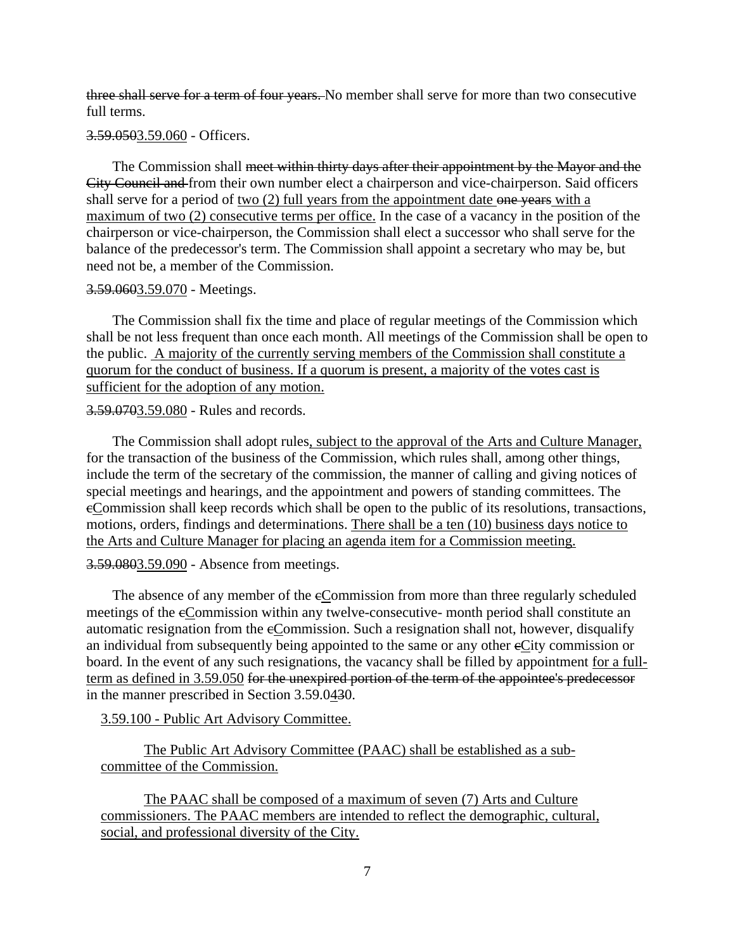three shall serve for a term of four years. No member shall serve for more than two consecutive full terms.

### 3.59.0503.59.060 - Officers.

The Commission shall <del>meet within thirty days after their appointment by the Mayor and the</del> City Council and from their own number elect a chairperson and vice-chairperson. Said officers shall serve for a period of two (2) full years from the appointment date one years with a maximum of two (2) consecutive terms per office. In the case of a vacancy in the position of the chairperson or vice-chairperson, the Commission shall elect a successor who shall serve for the balance of the predecessor's term. The Commission shall appoint a secretary who may be, but need not be, a member of the Commission.

#### 3.59.0603.59.070 - Meetings.

The Commission shall fix the time and place of regular meetings of the Commission which shall be not less frequent than once each month. All meetings of the Commission shall be open to the public. A majority of the currently serving members of the Commission shall constitute a quorum for the conduct of business. If a quorum is present, a majority of the votes cast is sufficient for the adoption of any motion.

#### 3.59.0703.59.080 - Rules and records.

The Commission shall adopt rules, subject to the approval of the Arts and Culture Manager, for the transaction of the business of the Commission, which rules shall, among other things, include the term of the secretary of the commission, the manner of calling and giving notices of special meetings and hearings, and the appointment and powers of standing committees. The cCommission shall keep records which shall be open to the public of its resolutions, transactions, motions, orders, findings and determinations. There shall be a ten (10) business days notice to the Arts and Culture Manager for placing an agenda item for a Commission meeting.

3.59.0803.59.090 - Absence from meetings.

The absence of any member of the eCommission from more than three regularly scheduled meetings of the cCommission within any twelve-consecutive- month period shall constitute an automatic resignation from the cCommission. Such a resignation shall not, however, disqualify an individual from subsequently being appointed to the same or any other eCity commission or board. In the event of any such resignations, the vacancy shall be filled by appointment for a fullterm as defined in 3.59.050 for the unexpired portion of the term of the appointee's predecessor in the manner prescribed in Section 3.59.0430.

3.59.100 - Public Art Advisory Committee.

The Public Art Advisory Committee (PAAC) shall be established as a subcommittee of the Commission.

The PAAC shall be composed of a maximum of seven (7) Arts and Culture commissioners. The PAAC members are intended to reflect the demographic, cultural, social, and professional diversity of the City.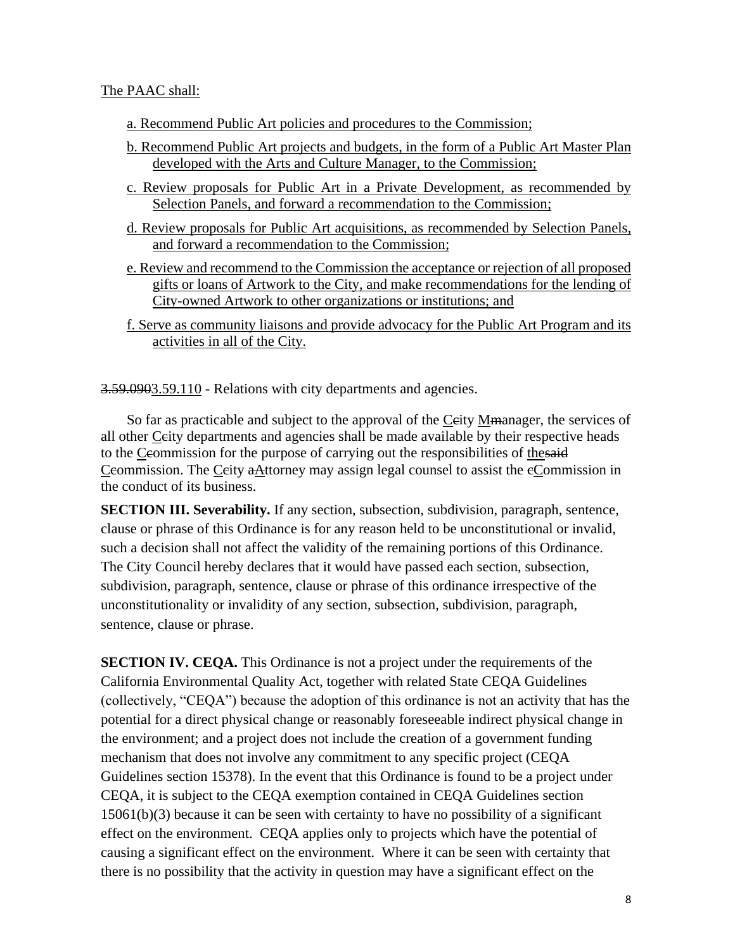### The PAAC shall:

- a. Recommend Public Art policies and procedures to the Commission;
- b. Recommend Public Art projects and budgets, in the form of a Public Art Master Plan developed with the Arts and Culture Manager, to the Commission;
- c. Review proposals for Public Art in a Private Development, as recommended by Selection Panels, and forward a recommendation to the Commission;
- d. Review proposals for Public Art acquisitions, as recommended by Selection Panels, and forward a recommendation to the Commission;
- e. Review and recommend to the Commission the acceptance or rejection of all proposed gifts or loans of Artwork to the City, and make recommendations for the lending of City-owned Artwork to other organizations or institutions; and
- f. Serve as community liaisons and provide advocacy for the Public Art Program and its activities in all of the City.

3.59.0903.59.110 - Relations with city departments and agencies.

So far as practicable and subject to the approval of the Ceity M<del>ma</del>nager, the services of all other Ceity departments and agencies shall be made available by their respective heads to the Ceommission for the purpose of carrying out the responsibilities of thesaid Ceommission. The Ceity aAttorney may assign legal counsel to assist the eCommission in the conduct of its business.

**SECTION III. Severability.** If any section, subsection, subdivision, paragraph, sentence, clause or phrase of this Ordinance is for any reason held to be unconstitutional or invalid, such a decision shall not affect the validity of the remaining portions of this Ordinance. The City Council hereby declares that it would have passed each section, subsection, subdivision, paragraph, sentence, clause or phrase of this ordinance irrespective of the unconstitutionality or invalidity of any section, subsection, subdivision, paragraph, sentence, clause or phrase.

**SECTION IV. CEQA.** This Ordinance is not a project under the requirements of the California Environmental Quality Act, together with related State CEQA Guidelines (collectively, "CEQA") because the adoption of this ordinance is not an activity that has the potential for a direct physical change or reasonably foreseeable indirect physical change in the environment; and a project does not include the creation of a government funding mechanism that does not involve any commitment to any specific project (CEQA Guidelines section 15378). In the event that this Ordinance is found to be a project under CEQA, it is subject to the CEQA exemption contained in CEQA Guidelines section 15061(b)(3) because it can be seen with certainty to have no possibility of a significant effect on the environment. CEQA applies only to projects which have the potential of causing a significant effect on the environment. Where it can be seen with certainty that there is no possibility that the activity in question may have a significant effect on the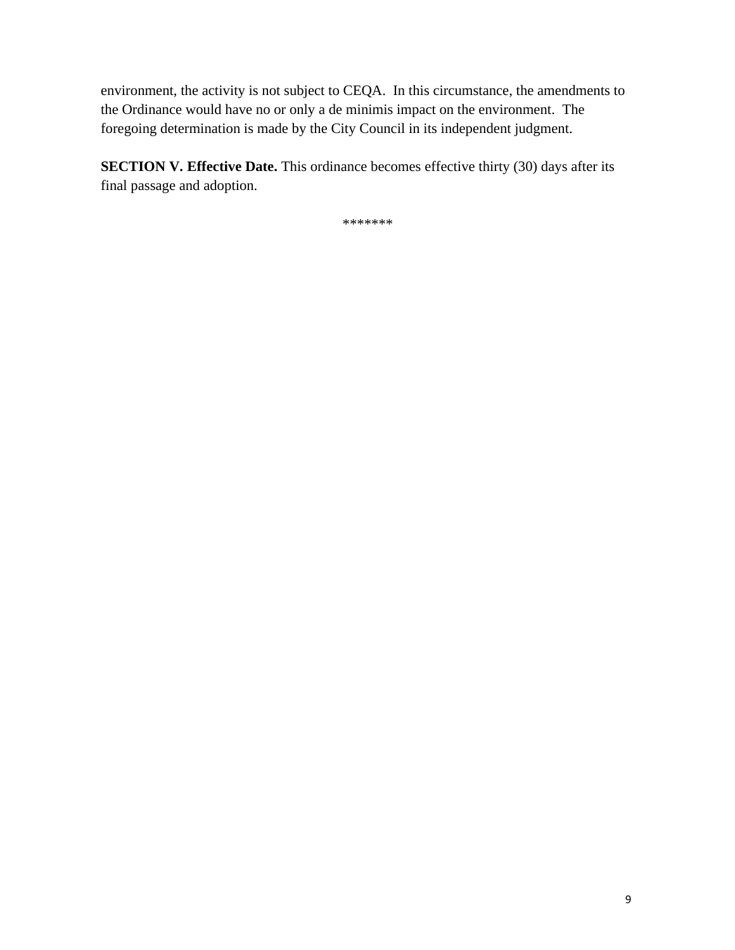environment, the activity is not subject to CEQA. In this circumstance, the amendments to the Ordinance would have no or only a de minimis impact on the environment. The foregoing determination is made by the City Council in its independent judgment.

**SECTION V. Effective Date.** This ordinance becomes effective thirty (30) days after its final passage and adoption.

\*\*\*\*\*\*\*